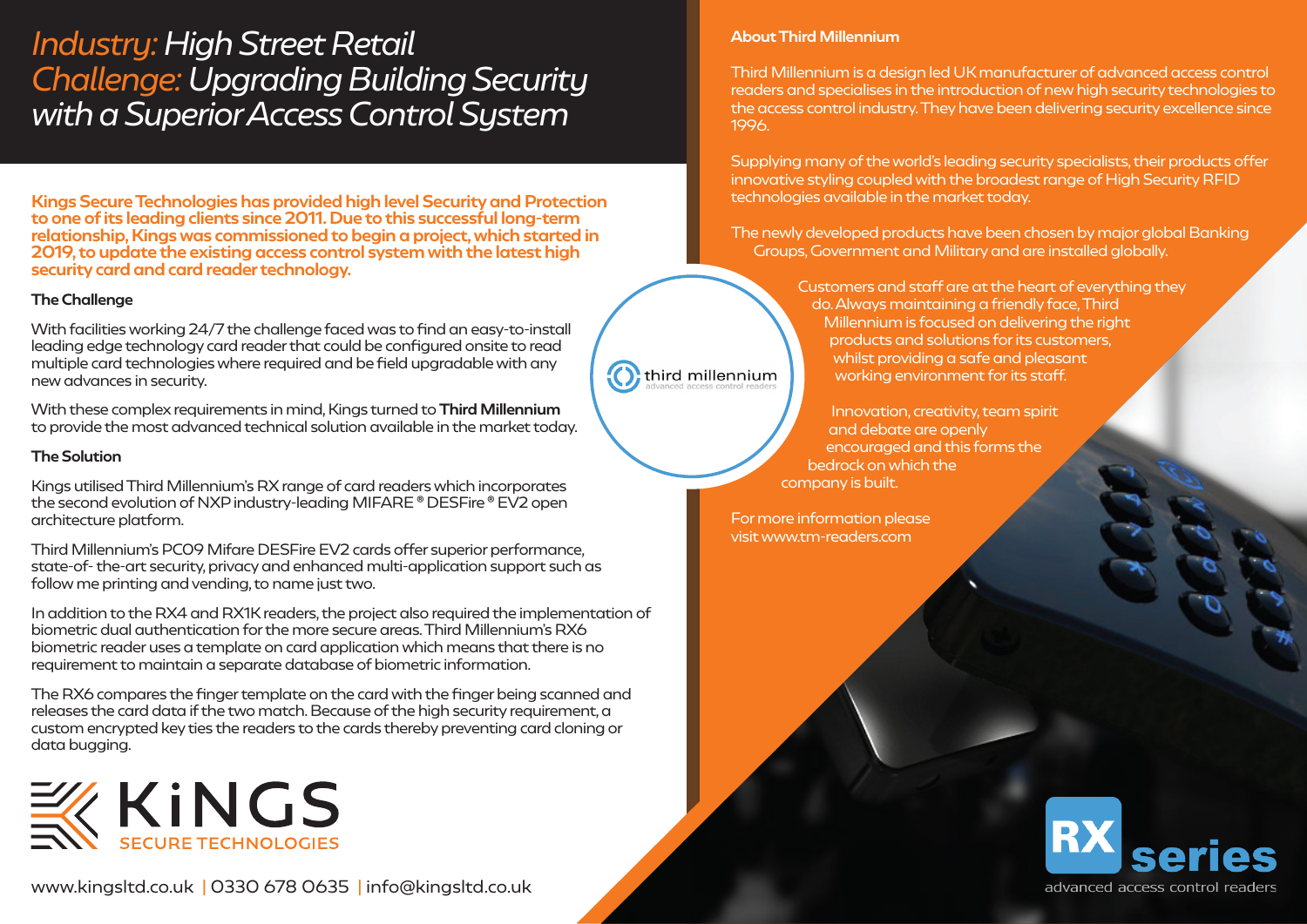# *Industry: High Street Retail Challenge: Upgrading Building Security with a Superior Access Control System*

Kings Secure Technologies has provided high level Security and Protection to one of its leading clients since 2011. Due to this successful long-term relationship, Kings was commissioned to begin a project, which started in 2019, to update the existing access control system with the latest high security card and card reader technology.

### The Challenge

With facilities working 24/7 the challenge faced was to find an easy-to-install leading edge technology card reader that could be configured onsite to read multiple card technologies where required and be field upgradable with any new advances in security.

With these complex requirements in mind, Kings turned to Third Millennium to provide the most advanced technical solution available in the market today.

### The Solution

Kings utilised Third Millennium's RX range of card readers which incorporates the second evolution of NXP industry-leading MIFARE ® DESFire ® EV2 open architecture platform.

Third Millennium's PC09 Mifare DESFire EV2 cards offer superior performance, state-of- the-art security, privacy and enhanced multi-application support such as follow me printing and vending, to name just two.

In addition to the RX4 and RX1K readers, the project also required the implementation of biometric dual authentication for the more secure areas. Third Millennium's RX6 biometric reader uses a template on card application which means that there is no requirement to maintain a separate database of biometric information.

The RX6 compares the finger template on the card with the finger being scanned and releases the card data if the two match. Because of the high security requirement, a custom encrypted key ties the readers to the cards thereby preventing card cloning or data bugging.



### About Third Millennium

Third Millennium is a design led UK manufacturer of advanced access control readers and specialises in the introduction of new high security technologies to the access control industry. They have been delivering security excellence since 1996.

Supplying many of the world's leading security specialists, their products offer innovative styling coupled with the broadest range of High Security RFID technologies available in the market today.

The newly developed products have been chosen by major global Banking Groups, Government and Military and are installed globally.

> Customers and staff are at the heart of everything they do. Always maintaining a friendly face, Third Millennium is focused on delivering the right products and solutions for its customers, whilst providing a safe and pleasant working environment for its staff.

Innovation, creativity, team spirit and debate are openly encouraged and this forms the bedrock on which the company is built.

For more information please visit www.tm-readers.com

third millennium



www.kingsltd.co.uk | 0330 678 0635 | info@kingsltd.co.uk